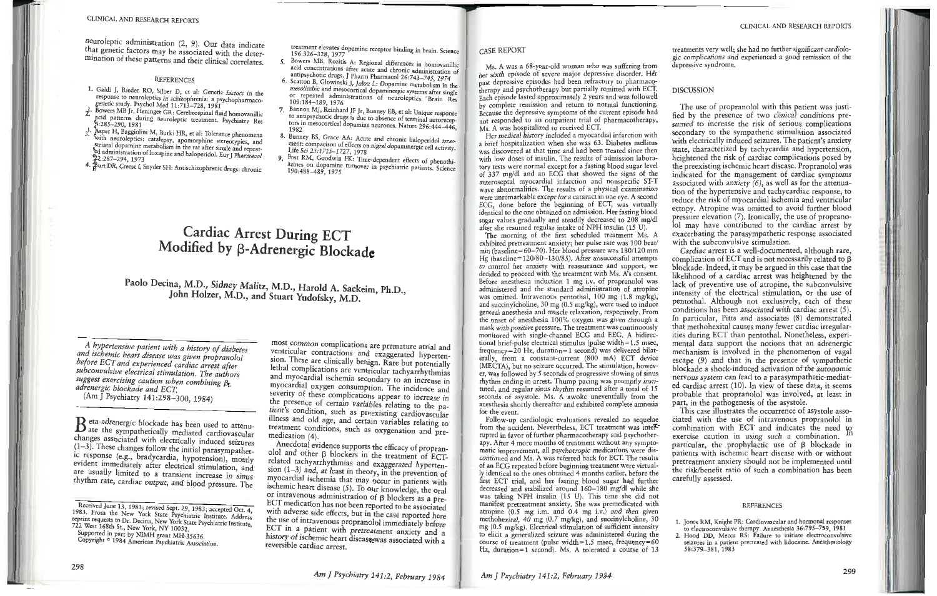## CLINICAL AND REPORTS ON A REPORT OF REPORTS ON A REPORT OF REPORTS OF REPORTS ON A REPORT OF REPORTS OF REPORTS ON A REPORT OF REPORTS OF REPORTS ON A REPORT OF REPORTS OF REPORTS OF REPORTS OF REPORTS OF REPORTS OF REPORT

 $hat$  genetic factors may be associated with the deternination of these patterns and their clinical correlates  $\mathbb{R}^n$  patterns and their chineal correlates.

#### **REFERENCES**

- Galdi J, Rieder RO, Silber D, et a response to neuroleptics in schizophrenia: a psychopharmacogenetic study. Psychol Med 11:713-728, 1981
- $\frac{1}{28}$  Owers MB Jr, Heninger GR: Cerebrospinal flu acid patter"<br>22.785–790 ns during neuroleptic treatment. Psychiatry Res 4:285-290, 1981
- patterns dunnent Psychiatry *Res*<br>
3. Asper H, Baggiolini M, Burki HR, et al. Tolerance phenomena<br>
3. With neuroleptics, catalogue with neuroleptics: catalepsy, apomorphine stereotypies, and<br>striatal donamine metabolism in the metabolism entiated dopamine metabolism in the rat after single and repeatd administration of loxapine and haloperidol. Eur J Pharmacol<br>2:287–294, 1973
- urt DR, Creese I. Snyder SH: Antischizophronia duce 1 4. Burt DR, Creese I, Snyder SH: Antischizophrenic drugs: chronic

treatment elevates dopamine receptor binding in brain. Science 196:326-328. 1977 elevates dopamine receptor binding in brain <sup>S</sup> . 196:326-328, 1977 . . cience

- $5.$ acid concentrations after acute and chronic administration of
- antipsychotic drugs. J Pharm Pharmacol 26:743-745, 1974 Executor B, Glowinski J, Julou L: Dopamine metabolism in the mesolimbic and mecoconical mesolimbic and mesocortical dopamine gic systems after single r repeated administrations of neuroleptics <sup>a</sup>fter single<br>09:184–189, 1976
- Bannon MJ, Reinhard JF Jr, Bunney EB, et al: Unique response  $7<sup>1</sup>$ to antipsychotic drugs is due to absence of terminal autoreconors in mesocortical dopamine neurones. Nature 296:444-446, 982<br>unnev RS . Grace A.A., Angles and A.A., A.A., A.A.
- ment: comparison of effects on nigral dopaminergic cell activity.<br>Life Sci 23:1715-1727. 1978 Life Sci 23:1715-1727, 1978<br>Post RM, Goodwin FK: Time-dependent effects of phenothi-<br>azines on dopamine typouse in
- azines on dopamine turnover in psychiatric patients. Science  $70:488-489, 1975$

# ~ardiac **Arrest During EeT**Modified **by (3-Adrenergic Blockade**

## Paolo Decina, M.D., Sidney Malitz, M.D., Harold A. Sackeim, Ph.D., John Holzer, M.D., and Stuart Yudofsky, M.D.

*a history of a ischemic heart disease was given propri-*A hypertensive patient with a history of diabetes *defore ECT and experienced cardiac arrest after abconvulsive electrical stimulation. The authors nggest exercising caution when combining B. suggest exerasmg caution <sup>w</sup>hen combining f3- adre***a** *decline and ECT*.<br> **a** *decline 141:298-300, 1984)* 

 $\mathbf B$  eta-adrenergic blockade has been used to attenues associated with electrically induced seizures  $(1-3)$ . These changes follow the initial parasympathet tesponse (e.g., bradycardia, hypotension) most vident immediately after electrical stimulation and re usually limited to a transient increase in sinus hythm rate, cardiac output, and blood pressure. The

Received June 13, 1983; revised Sept. 29, 1983; accepted Oct. 4, 1983. From the New York State Psychiatric Institute. Address print requests to Dr. Decina, New York State Psychiatric Institute,<br>22 West 168th St., New York, NY 10032. 22 West 168th St., New York, NY proofted in part by NIMH grant  $MH-35636$ 

opyright <sup>®</sup> 1984 American Psychiatric Associ Copynght e 1985 Chatrican Psychiatric Association.

 $entrichler$ icular contractions and exaggerated hypertenion. These are clinically benign. Rare but potentially sthal comp ethal complications are ventricular tachyarrhythmias nyocardial ischemia secondary to an increase i and more many contribution. The incidence and everity of these complications appear to increase in sex presence of certain variables relating to the new tent's condition, such as preexisting cardiovascular lness and old age, and certain variables relating to reatment conditions, such as oxygenation and pre-<br>nedication (4). (4).

I<sub>nd</sub> <sub>oth</sub> lol and other  $\beta$  blockers in the treatment of ECT- $\frac{1}{2}$  and  $\frac{1}{2}$  and  $\frac{1}{2}$  and  $\frac{1}{2}$  and exaggerated hyperten- $(-3)$  and, at least in theory, in the prevention of wocardial is the same in the ory, in the prevention ayocardial ischemia that may occur in patients with schemic heart disease  $(5)$ . To our knowledge, the oral or intravenous administration of  $\beta$  blockers as a pre-ECT medication has not been reported to be associated n adverse side effects, but in the case reported here he use of intravenous propranolol immediately before ECT in a patient with pretreatment anxiety and a istory of ischemic heart diseaseewas associated with a eversible cardiac arrest. reversible cardiac arrest.

### ASE REPORT

was a was a bo-year-old woman who was suffering from<br>sixth episode of severe major depressive disorder. Her er sixtif episode of severe major depressive disorder. Her<br>set depressive episodes had been refractory to pharmacoast depressive episodes had been refractory to pharmaco-<br>herany and psychotherapy but partially remitted with ECT. therapy and psychotherapy but partially remitted with ECT.<br>ach episode lasted approximately 2 years and was followed geth episode lasted approximately 2 years and was followed<br>w complete remission and return to normal functioning. by complete remission and return to normal functioning.  $\frac{1}{2}$  because the depressive symptoms of the current episode had<br>hot responded to a neutralized ECT. for responded to an ourpatient trial of pm.<br>As A was hospitalized to received ECT.

Her medical history included a myocardial infarction with Her included instituted a myocardial milarction with<br>rief hospitalization when she was 63. Diabetes mellitus was discovered at that time and had been treated since then was discovered at that time and had been treated since then<br>with low doses of insulin. The results of admission laborar tests were normal except for a fasting bl of 337 mg/dl and an ECG that showed the signs of the <sup>337</sup> mg/ dl and an EC that showed the signs of the heroseptal infocardial infarction and nonspecific 32-1 vave abnormanties. The results of a physical examination<br>vere unremarkable except for a cataract in one eye. A second except for a cataract in one eye. A second CG, done before the beginning of ECT, was virtually dentical to the one obtained on admission. Her fasting blood the of the obtained on admission. Her fasting blood<br>ar values gradually and steadily decreased to  $208 \text{ mg/dl}$ agar values gradually and steadily decreased to 200<br>fter she resumed regular intake of NPH insulin (15 I

The morning of the first scheduled treatment Ms. morning of the first scheduled treatment Ms. A nin (baseline=60–70). Her blood pressure was 180/120 mm mi (baseline=00-70). Her blood pressure was 180/120 mm<br>Ig (baseline=120/80-130/85). After unsuccessful attempts ig (baseline–120760–150765). After unsuccessful attempts<br>to control her anxiety with reassurance and support, we ecided to proceed with the treatment with Ms. A's consent. proceed with the treatment with Ms. As consent.<br>esthesia induction 1 mg i.v. of propranolol was dministered and the standard administration of atropine administered and the standard administration of atrophic<br>vas omitted. Intravenous pentothal, 100 mg (1.8 mg/kg). as omitted. Intravenous pentotial, 100 mg  $(1.8 \text{ mg/kg})$ , and succinylcholine, 30 mg  $(0.5 \text{ mg/kg})$ , were used to induce succinyicholine, 50 mg (0.5 mg/kg), were used to induce<br>eral anesthesia and muscle relaxation, respectively. From eneral anesthesia and muscle relaxation, respectively. From<br>he onset of anesthesia 100% oxvgen was given through a the onset of anesthesia 100% oxygen was given through a<br>nask with positive pressure. The treatment was continuously ask with positive pressure. The treatment was committed with single-channel ECG and EEG. A bidirecional brief-pulse electrical stimulus (pulse width = 1.5 msec,  $_{\text{mrg}}$ =20 Hz, duration=1 second) was delivered bilatrally, from a constant-current  $(800 \text{ mA})$  ECT rally, from a constant-current (800 mA) ECT device<br>MECTA), but no seizure occurred. The stimulation, howevwe try, but no seizure occurred. The stimulation, howev-<br>r, was followed by 5 seconds of progressive slowing of sinus r, was followed by 5 seconds of progressive slowing of sinus<br>hythm ending in arrest. Thump pacing was promptly instiy rhythm enting in arrest. Thump pacing was promptly instituted, and regular sinus rhythm resumed after a total of 15 econds of asystole. Ms. A awoke uneventfully from the nesthesia shortly thereafter and exhibited complete amnesia<br>or the event.

r the event.<br>Follow-up cardiologic evaluations revealed no sec onow-up cardiologic evaluations revealed no sequelae<br>m the accident. Nevertheless, ECT treatment was interrupted in favor of further pharmacotherapy and psychotherpy. After 4 more months of treatment without any symptopy. After 4 more months of treatment without any sympto-<br>iatic improvement, all psychotropic medications were disand mprovement, an psychotropic medications were dis-<br>ontinued and Ms. A was referred back for ECT. The results ontified and tws. A was referred back for ECT. The results ly identical to the ones obtained 4 months earlier, before the rate ECT trial, and her fasting blood sugar had further first ECT trial, and her fasting blood sugar had further a and stabilized around 160–160 mg/dl while site<br>ng NPH insulin (15 U). This time she did not as taking NPH insulin (15 U). This time she did not annest pretreatment anxiety. She was premedicated with<br>tropine (0.5 mg i.m. and 0.4 mg i.v.) and then given hopine (0.5 mg i.m. and 0.4 mg i.v.) and then given<br>nethohexital, 40 mg (0.7 mg/kg), and succinvicholine, 30 netholiexital, 40 mg (0.7 mg/kg), and succinyienomie, 30<br>ng (0.5 mg/kg). Electrical stimulation of sufficient intensity of (0.5 mg/kg). Electrical sumulation of sufficient intensity<br>o elicit a generalized seizure was administered during the  $\sigma$  energy a generalized seizure was administered during the ourse of treatment (pulse width=1.5 msec. frequency=60  $z_n$  duration=1 second). Ms. A tolerated a course of 13

treatments very well; she had no further significant cardiolo-<br>ne complications and experienced a good remission of the gic complications and<br>depressive syndrome. experienceda goo<sup>d</sup> remission of the

### DISCUSSIO

The use of propranolol with this patient was justic use of proprationol with this patient was justied by the presence of two chilical conditions presecondary to the sympathetic stimulation associated econdary to the sympathetic stimulation associated vith electrically modecu scizures. The patient's anxiety<br>tate, characterized by tachycardia and hypertension reightened the risk of cardiac complications posed by ypertension,eightened the risk or cardiac complications posed by<br>he preexisting ischemic heart disease. Propranolol was ne preexisting ischemic heart disease. I ropranolol was<br>ndicated for the management of cardiac symptoms indicated for the management of cardiac symptoms<br>ssociated with anxiety  $(6)$ , as well as for the attenuaion of the hypertensive and tachycardiac response, to for the hypertensive and tachycardiac response, to<br>educe the risk of myocardial ischemia and ventricular ectopy. Atropine was omitted to avoid further blood ectopy. Atropine was omitted to avoid further blood pressure elevation  $(7)$ . Homeany, the use of proprano-<br>ol may have contributed to the cardiac arrest by<br>exacerbating the parasympathetic response associated xaccroating the parasympathetic response associated<br>vith the subconvulsive stimulation

with the subco nvulsive stimulation. cardiac arrest is a well-documented, annough rare,<br>nnlication of ECT and is not necessarily related to R omplication of ECT and is not necessarily related to  $\beta$ <br>lockade. Indeed, it may be argued in this case that the hockade. Indeed, it may be argued in this case that the<br>ikelihood of a cardiac arrest was heightened by the ack of preventive use of atropine, the subconvulsive c or preventive use or atrophie, the subconvuisive<br>nsity of the electrical stimulation or the use of netteristy of the electrical stimulation, or the use of these  $p$  and  $p$  is the two exclusively, each of these conditions has been associated with cardiac arrest  $(5)$ . alar, Pitts and associates (8) demonstrated In particular, This and associates (8) demonstrated<br>hat methohexital causes many fewer cardiac irregularmat incubonexhal causes many fewer cardiac irregularading ECT than pentothal. Nonctriciess, experi-<br>ital data support the notions that an adrenergic nental data support the notions that an adreneigic<br>nechanism is involved in the nhenomenon of vagal hescape (9) and that in the presence of sympathetic scape  $(9)$  and that in the presence of sympathetic blockade a shock-induced activation of the autonomic ervous system can lead to a parasympathetic-mediat ervous system can lead to a parasympathetic-<br>d cardiac arrest (10). In view of these data, a cardiac arrest (10). In view of these data, it seems<br>robable that propranolol was involved at least in nobable that proprational was involved, at least in the pathogenesis of the asystole.

This case illustrates the occurrence of a the use of intravenous propranolol in cated with the use of intravenous propration in<br>
combination with ECT and indicates the need  $_{\text{th}}$  $\frac{1}{2}$  and indicates the need  $\frac{1}{2}$  securition in using such a combination. xercise cannon in using such a combination.<br>particular, the prophylactic use of B blockade in atticular, the prophylactic use of p blockade in patients with ischemic heart usease with or without netreatment anxiety should not be implemented until<br>he risk/benefit ratio of such a combination has been<br>arefully assessed riskriver<br>Sebilvas alciully assessed.

### REFERENCES

1. Jones RM, Knight PR: Cardiovascular and hormonal responses to electroconvulsive therapy. Anaesthesia 36:795–799, 1981

electroconvulsive therapy. Anaesthesia 36:795-799, 1981.<br>
2. Hood DD, Mecca RS: Failure to initiate electroconvulsiv ribod DD, Mecca RS: Family to initiate electroconvulsive seizures in <sup>a</sup> patient pretreated with lidocaine. Anesthesiology 58:379-381, <sup>1983</sup>